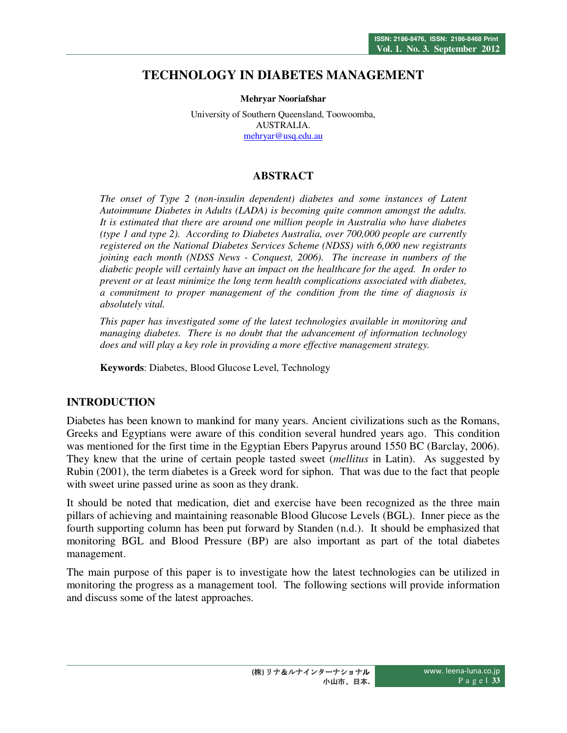# **TECHNOLOGY IN DIABETES MANAGEMENT**

**Mehryar Nooriafshar** 

University of Southern Queensland, Toowoomba, AUSTRALIA. mehryar@usq.edu.au

## **ABSTRACT**

*The onset of Type 2 (non-insulin dependent) diabetes and some instances of Latent Autoimmune Diabetes in Adults (LADA) is becoming quite common amongst the adults. It is estimated that there are around one million people in Australia who have diabetes (type 1 and type 2). According to Diabetes Australia, over 700,000 people are currently registered on the National Diabetes Services Scheme (NDSS) with 6,000 new registrants joining each month (NDSS News - Conquest, 2006). The increase in numbers of the diabetic people will certainly have an impact on the healthcare for the aged. In order to prevent or at least minimize the long term health complications associated with diabetes, a commitment to proper management of the condition from the time of diagnosis is absolutely vital.* 

*This paper has investigated some of the latest technologies available in monitoring and managing diabetes. There is no doubt that the advancement of information technology does and will play a key role in providing a more effective management strategy.* 

**Keywords**: Diabetes, Blood Glucose Level, Technology

## **INTRODUCTION**

Diabetes has been known to mankind for many years. Ancient civilizations such as the Romans, Greeks and Egyptians were aware of this condition several hundred years ago. This condition was mentioned for the first time in the Egyptian Ebers Papyrus around 1550 BC (Barclay, 2006). They knew that the urine of certain people tasted sweet (*mellitus* in Latin). As suggested by Rubin (2001), the term diabetes is a Greek word for siphon. That was due to the fact that people with sweet urine passed urine as soon as they drank.

It should be noted that medication, diet and exercise have been recognized as the three main pillars of achieving and maintaining reasonable Blood Glucose Levels (BGL). Inner piece as the fourth supporting column has been put forward by Standen (n.d.). It should be emphasized that monitoring BGL and Blood Pressure (BP) are also important as part of the total diabetes management.

The main purpose of this paper is to investigate how the latest technologies can be utilized in monitoring the progress as a management tool. The following sections will provide information and discuss some of the latest approaches.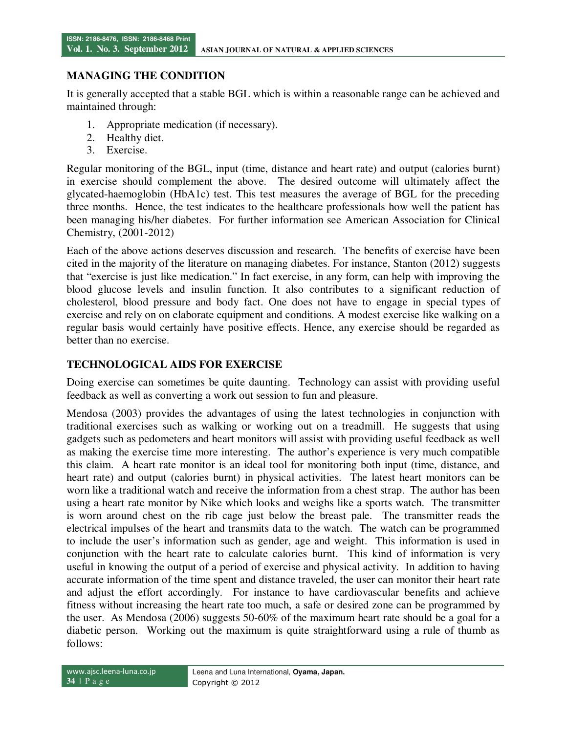#### **MANAGING THE CONDITION**

It is generally accepted that a stable BGL which is within a reasonable range can be achieved and maintained through:

- 1. Appropriate medication (if necessary).
- 2. Healthy diet.
- 3. Exercise.

Regular monitoring of the BGL, input (time, distance and heart rate) and output (calories burnt) in exercise should complement the above. The desired outcome will ultimately affect the glycated-haemoglobin (HbA1c) test. This test measures the average of BGL for the preceding three months. Hence, the test indicates to the healthcare professionals how well the patient has been managing his/her diabetes. For further information see American Association for Clinical Chemistry, (2001-2012)

Each of the above actions deserves discussion and research. The benefits of exercise have been cited in the majority of the literature on managing diabetes. For instance, Stanton (2012) suggests that "exercise is just like medication." In fact exercise, in any form, can help with improving the blood glucose levels and insulin function. It also contributes to a significant reduction of cholesterol, blood pressure and body fact. One does not have to engage in special types of exercise and rely on on elaborate equipment and conditions. A modest exercise like walking on a regular basis would certainly have positive effects. Hence, any exercise should be regarded as better than no exercise.

#### **TECHNOLOGICAL AIDS FOR EXERCISE**

Doing exercise can sometimes be quite daunting. Technology can assist with providing useful feedback as well as converting a work out session to fun and pleasure.

Mendosa (2003) provides the advantages of using the latest technologies in conjunction with traditional exercises such as walking or working out on a treadmill. He suggests that using gadgets such as pedometers and heart monitors will assist with providing useful feedback as well as making the exercise time more interesting. The author's experience is very much compatible this claim. A heart rate monitor is an ideal tool for monitoring both input (time, distance, and heart rate) and output (calories burnt) in physical activities. The latest heart monitors can be worn like a traditional watch and receive the information from a chest strap. The author has been using a heart rate monitor by Nike which looks and weighs like a sports watch. The transmitter is worn around chest on the rib cage just below the breast pale. The transmitter reads the electrical impulses of the heart and transmits data to the watch. The watch can be programmed to include the user's information such as gender, age and weight. This information is used in conjunction with the heart rate to calculate calories burnt. This kind of information is very useful in knowing the output of a period of exercise and physical activity. In addition to having accurate information of the time spent and distance traveled, the user can monitor their heart rate and adjust the effort accordingly. For instance to have cardiovascular benefits and achieve fitness without increasing the heart rate too much, a safe or desired zone can be programmed by the user. As Mendosa (2006) suggests 50-60% of the maximum heart rate should be a goal for a diabetic person. Working out the maximum is quite straightforward using a rule of thumb as follows: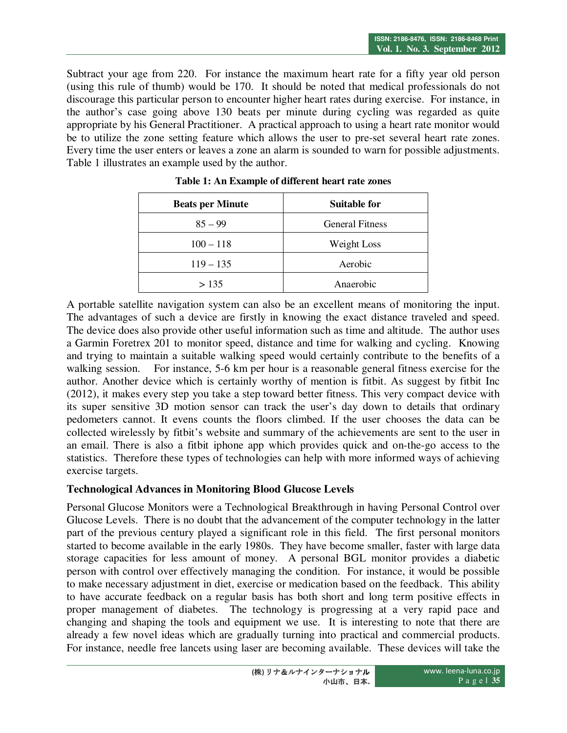Subtract your age from 220. For instance the maximum heart rate for a fifty year old person (using this rule of thumb) would be 170. It should be noted that medical professionals do not discourage this particular person to encounter higher heart rates during exercise. For instance, in the author's case going above 130 beats per minute during cycling was regarded as quite appropriate by his General Practitioner. A practical approach to using a heart rate monitor would be to utilize the zone setting feature which allows the user to pre-set several heart rate zones. Every time the user enters or leaves a zone an alarm is sounded to warn for possible adjustments. Table 1 illustrates an example used by the author.

| <b>Beats per Minute</b> | <b>Suitable for</b>    |
|-------------------------|------------------------|
| $85 - 99$               | <b>General Fitness</b> |
| $100 - 118$             | Weight Loss            |
| $119 - 135$             | Aerobic                |
| > 135                   | Anaerobic              |

**Table 1: An Example of different heart rate zones** 

A portable satellite navigation system can also be an excellent means of monitoring the input. The advantages of such a device are firstly in knowing the exact distance traveled and speed. The device does also provide other useful information such as time and altitude. The author uses a Garmin Foretrex 201 to monitor speed, distance and time for walking and cycling. Knowing and trying to maintain a suitable walking speed would certainly contribute to the benefits of a walking session. For instance, 5-6 km per hour is a reasonable general fitness exercise for the author. Another device which is certainly worthy of mention is fitbit. As suggest by fitbit Inc (2012), it makes every step you take a step toward better fitness. This very compact device with its super sensitive 3D motion sensor can track the user's day down to details that ordinary pedometers cannot. It evens counts the floors climbed. If the user chooses the data can be collected wirelessly by fitbit's website and summary of the achievements are sent to the user in an email. There is also a fitbit iphone app which provides quick and on-the-go access to the statistics. Therefore these types of technologies can help with more informed ways of achieving exercise targets.

## **Technological Advances in Monitoring Blood Glucose Levels**

Personal Glucose Monitors were a Technological Breakthrough in having Personal Control over Glucose Levels. There is no doubt that the advancement of the computer technology in the latter part of the previous century played a significant role in this field. The first personal monitors started to become available in the early 1980s. They have become smaller, faster with large data storage capacities for less amount of money. A personal BGL monitor provides a diabetic person with control over effectively managing the condition. For instance, it would be possible to make necessary adjustment in diet, exercise or medication based on the feedback. This ability to have accurate feedback on a regular basis has both short and long term positive effects in proper management of diabetes. The technology is progressing at a very rapid pace and changing and shaping the tools and equipment we use. It is interesting to note that there are already a few novel ideas which are gradually turning into practical and commercial products. For instance, needle free lancets using laser are becoming available. These devices will take the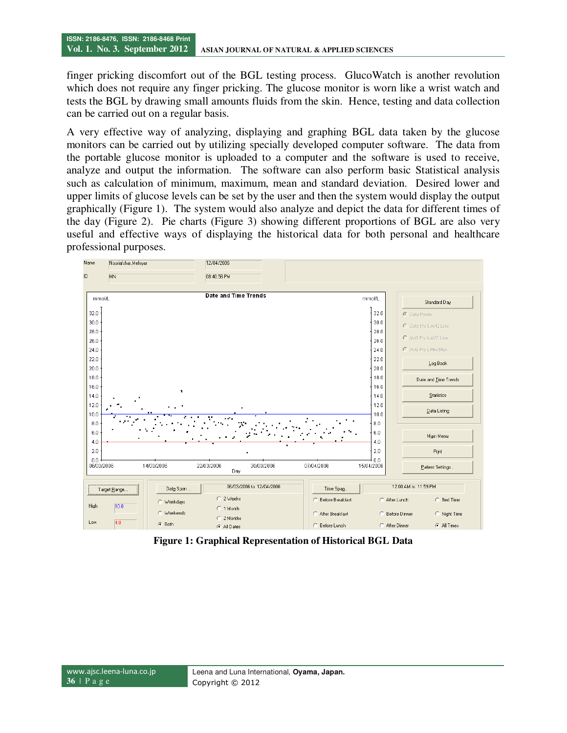finger pricking discomfort out of the BGL testing process. GlucoWatch is another revolution which does not require any finger pricking. The glucose monitor is worn like a wrist watch and tests the BGL by drawing small amounts fluids from the skin. Hence, testing and data collection can be carried out on a regular basis.

A very effective way of analyzing, displaying and graphing BGL data taken by the glucose monitors can be carried out by utilizing specially developed computer software. The data from the portable glucose monitor is uploaded to a computer and the software is used to receive, analyze and output the information. The software can also perform basic Statistical analysis such as calculation of minimum, maximum, mean and standard deviation. Desired lower and upper limits of glucose levels can be set by the user and then the system would display the output graphically (Figure 1). The system would also analyze and depict the data for different times of the day (Figure 2). Pie charts (Figure 3) showing different proportions of BGL are also very useful and effective ways of displaying the historical data for both personal and healthcare professional purposes.



**Figure 1: Graphical Representation of Historical BGL Data**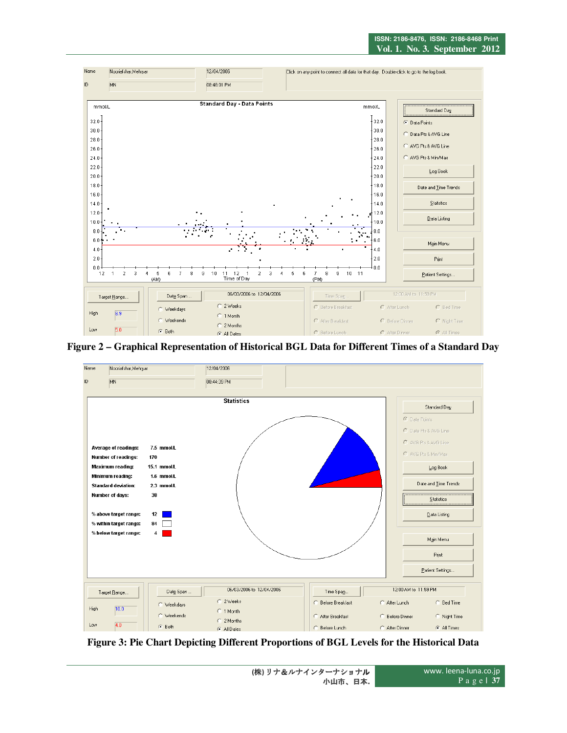

**Figure 2 – Graphical Representation of Historical BGL Data for Different Times of a Standard Day** 



**Figure 3: Pie Chart Depicting Different Proportions of BGL Levels for the Historical Data**